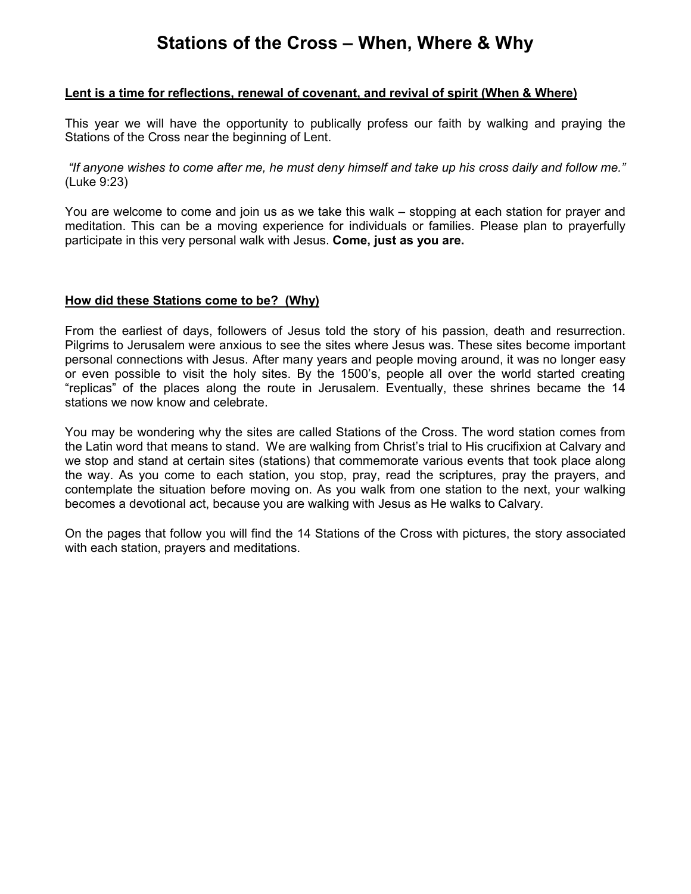# **Stations of the Cross – When, Where & Why**

#### **Lent is a time for reflections, renewal of covenant, and revival of spirit (When & Where)**

This year we will have the opportunity to publically profess our faith by walking and praying the Stations of the Cross near the beginning of Lent.

*"If anyone wishes to come after me, he must deny himself and take up his cross daily and follow me."* (Luke 9:23)

You are welcome to come and join us as we take this walk – stopping at each station for prayer and meditation. This can be a moving experience for individuals or families. Please plan to prayerfully participate in this very personal walk with Jesus. **Come, just as you are.**

#### **How did these Stations come to be? (Why)**

From the earliest of days, followers of Jesus told the story of his passion, death and resurrection. Pilgrims to Jerusalem were anxious to see the sites where Jesus was. These sites become important personal connections with Jesus. After many years and people moving around, it was no longer easy or even possible to visit the holy sites. By the 1500's, people all over the world started creating "replicas" of the places along the route in Jerusalem. Eventually, these shrines became the 14 stations we now know and celebrate.

You may be wondering why the sites are called Stations of the Cross. The word station comes from the Latin word that means to stand. We are walking from Christ's trial to His crucifixion at Calvary and we stop and stand at certain sites (stations) that commemorate various events that took place along the way. As you come to each station, you stop, pray, read the scriptures, pray the prayers, and contemplate the situation before moving on. As you walk from one station to the next, your walking becomes a devotional act, because you are walking with Jesus as He walks to Calvary.

On the pages that follow you will find the 14 Stations of the Cross with pictures, the story associated with each station, prayers and meditations.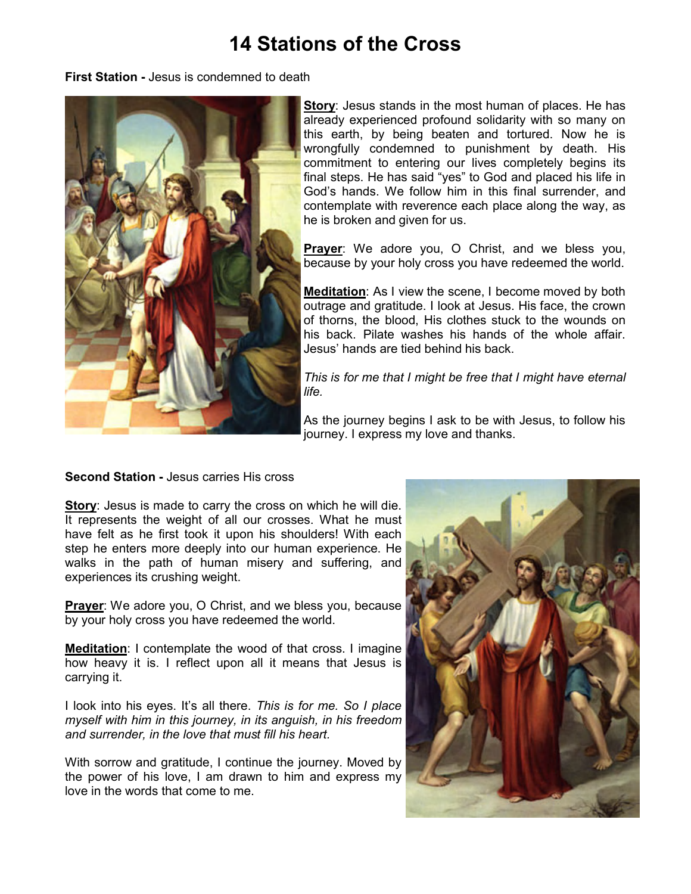# **14 Stations of the Cross**

**First Station -** Jesus is condemned to death



**Story:** Jesus stands in the most human of places. He has already experienced profound solidarity with so many on this earth, by being beaten and tortured. Now he is wrongfully condemned to punishment by death. His commitment to entering our lives completely begins its final steps. He has said "yes" to God and placed his life in God's hands. We follow him in this final surrender, and contemplate with reverence each place along the way, as he is broken and given for us.

**Prayer**: We adore you, O Christ, and we bless you, because by your holy cross you have redeemed the world.

**Meditation**: As I view the scene, I become moved by both outrage and gratitude. I look at Jesus. His face, the crown of thorns, the blood, His clothes stuck to the wounds on his back. Pilate washes his hands of the whole affair. Jesus' hands are tied behind his back.

*This is for me that I might be free that I might have eternal life.* 

As the journey begins I ask to be with Jesus, to follow his journey. I express my love and thanks.

**Second Station -** Jesus carries His cross

**Story**: Jesus is made to carry the cross on which he will die. It represents the weight of all our crosses. What he must have felt as he first took it upon his shoulders! With each step he enters more deeply into our human experience. He walks in the path of human misery and suffering, and experiences its crushing weight.

**Prayer**: We adore you, O Christ, and we bless you, because by your holy cross you have redeemed the world.

**Meditation**: I contemplate the wood of that cross. I imagine how heavy it is. I reflect upon all it means that Jesus is carrying it.

I look into his eyes. It's all there. *This is for me. So I place myself with him in this journey, in its anguish, in his freedom and surrender, in the love that must fill his heart.*

With sorrow and gratitude, I continue the journey. Moved by the power of his love, I am drawn to him and express my love in the words that come to me.

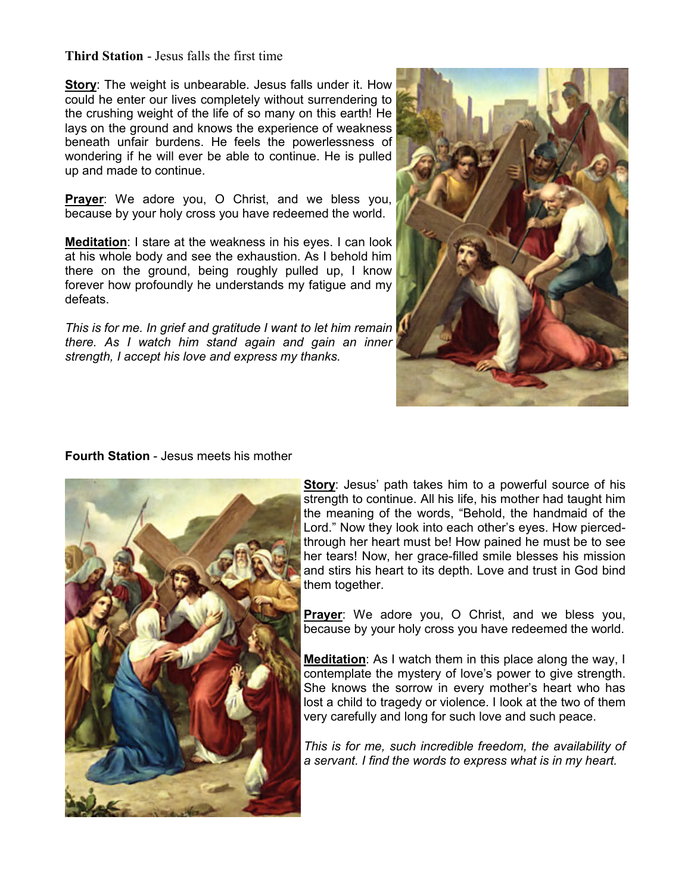## **Third Station** - Jesus falls the first time

**Story**: The weight is unbearable. Jesus falls under it. How could he enter our lives completely without surrendering to the crushing weight of the life of so many on this earth! He lays on the ground and knows the experience of weakness beneath unfair burdens. He feels the powerlessness of wondering if he will ever be able to continue. He is pulled up and made to continue.

**Prayer**: We adore you, O Christ, and we bless you, because by your holy cross you have redeemed the world.

**Meditation**: I stare at the weakness in his eyes. I can look at his whole body and see the exhaustion. As I behold him there on the ground, being roughly pulled up, I know forever how profoundly he understands my fatigue and my defeats.

*This is for me. In grief and gratitude I want to let him remain there. As I watch him stand again and gain an inner strength, I accept his love and express my thanks.*



#### **Fourth Station** - Jesus meets his mother



**Story**: Jesus' path takes him to a powerful source of his strength to continue. All his life, his mother had taught him the meaning of the words, "Behold, the handmaid of the Lord." Now they look into each other's eyes. How piercedthrough her heart must be! How pained he must be to see her tears! Now, her grace-filled smile blesses his mission and stirs his heart to its depth. Love and trust in God bind them together.

**Prayer**: We adore you, O Christ, and we bless you, because by your holy cross you have redeemed the world.

**Meditation**: As I watch them in this place along the way, I contemplate the mystery of love's power to give strength. She knows the sorrow in every mother's heart who has lost a child to tragedy or violence. I look at the two of them very carefully and long for such love and such peace.

*This is for me, such incredible freedom, the availability of a servant. I find the words to express what is in my heart.*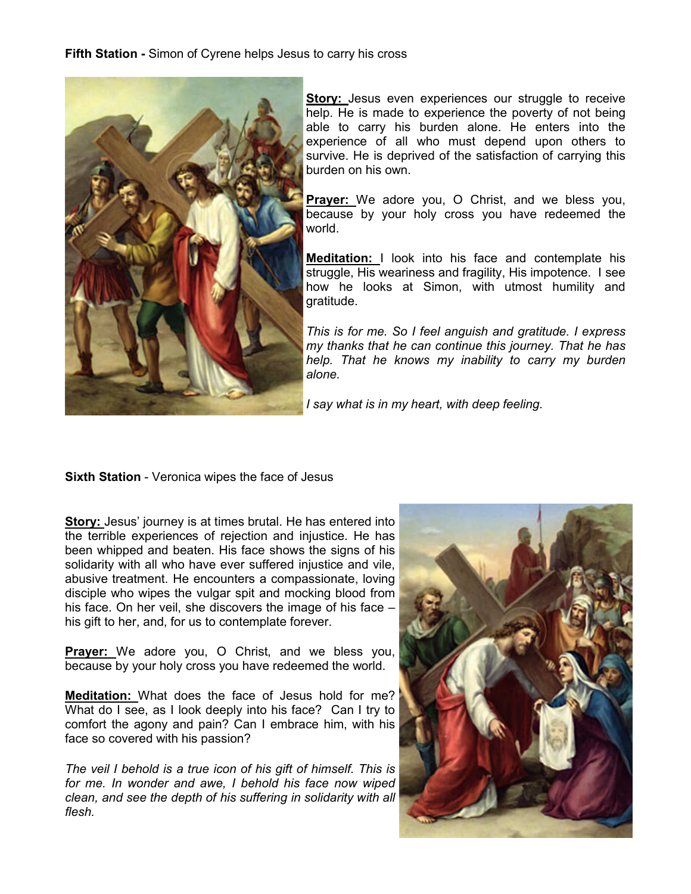**Fifth Station -** Simon of Cyrene helps Jesus to carry his cross



**Story:** Jesus even experiences our struggle to receive help. He is made to experience the poverty of not being able to carry his burden alone. He enters into the experience of all who must depend upon others to survive. He is deprived of the satisfaction of carrying this burden on his own.

**Prayer:** We adore you, O Christ, and we bless you, because by your holy cross you have redeemed the world.

**Meditation:** I look into his face and contemplate his struggle, His weariness and fragility, His impotence. I see how he looks at Simon, with utmost humility and gratitude.

*This is for me. So I feel anguish and gratitude. I express my thanks that he can continue this journey. That he has help. That he knows my inability to carry my burden alone.*

*I say what is in my heart, with deep feeling.*

**Sixth Station** - Veronica wipes the face of Jesus

**Story:** Jesus' journey is at times brutal. He has entered into the terrible experiences of rejection and injustice. He has been whipped and beaten. His face shows the signs of his solidarity with all who have ever suffered injustice and vile, abusive treatment. He encounters a compassionate, loving disciple who wipes the vulgar spit and mocking blood from his face. On her veil, she discovers the image of his face his gift to her, and, for us to contemplate forever.

**Prayer:** We adore you, O Christ, and we bless you, because by your holy cross you have redeemed the world.

**Meditation:** What does the face of Jesus hold for me? What do I see, as I look deeply into his face? Can I try to comfort the agony and pain? Can I embrace him, with his face so covered with his passion?

*The veil I behold is a true icon of his gift of himself. This is for me. In wonder and awe, I behold his face now wiped clean, and see the depth of his suffering in solidarity with all flesh.*

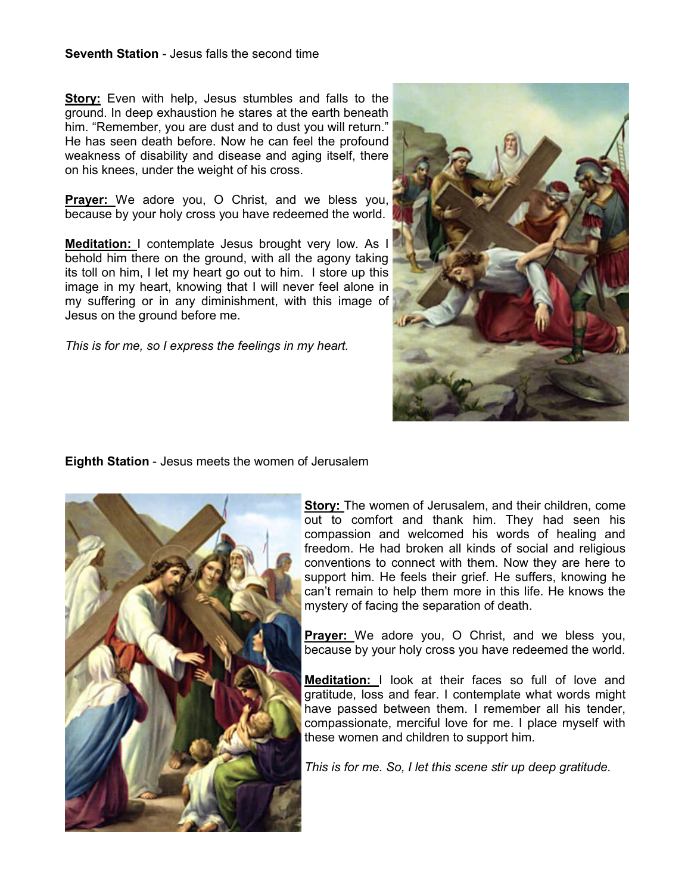#### **Seventh Station** - Jesus falls the second time

**Story:** Even with help, Jesus stumbles and falls to the ground. In deep exhaustion he stares at the earth beneath him. "Remember, you are dust and to dust you will return." He has seen death before. Now he can feel the profound weakness of disability and disease and aging itself, there on his knees, under the weight of his cross.

**Prayer:** We adore you, O Christ, and we bless you, because by your holy cross you have redeemed the world.

**Meditation:** I contemplate Jesus brought very low. As I behold him there on the ground, with all the agony taking its toll on him, I let my heart go out to him. I store up this image in my heart, knowing that I will never feel alone in my suffering or in any diminishment, with this image of Jesus on the ground before me.

*This is for me, so I express the feelings in my heart.*



**Eighth Station** - Jesus meets the women of Jerusalem



**Story:** The women of Jerusalem, and their children, come out to comfort and thank him. They had seen his compassion and welcomed his words of healing and freedom. He had broken all kinds of social and religious conventions to connect with them. Now they are here to support him. He feels their grief. He suffers, knowing he can't remain to help them more in this life. He knows the mystery of facing the separation of death.

**Prayer:** We adore you, O Christ, and we bless you, because by your holy cross you have redeemed the world.

**Meditation:** I look at their faces so full of love and gratitude, loss and fear. I contemplate what words might have passed between them. I remember all his tender, compassionate, merciful love for me. I place myself with these women and children to support him.

*This is for me. So, I let this scene stir up deep gratitude.*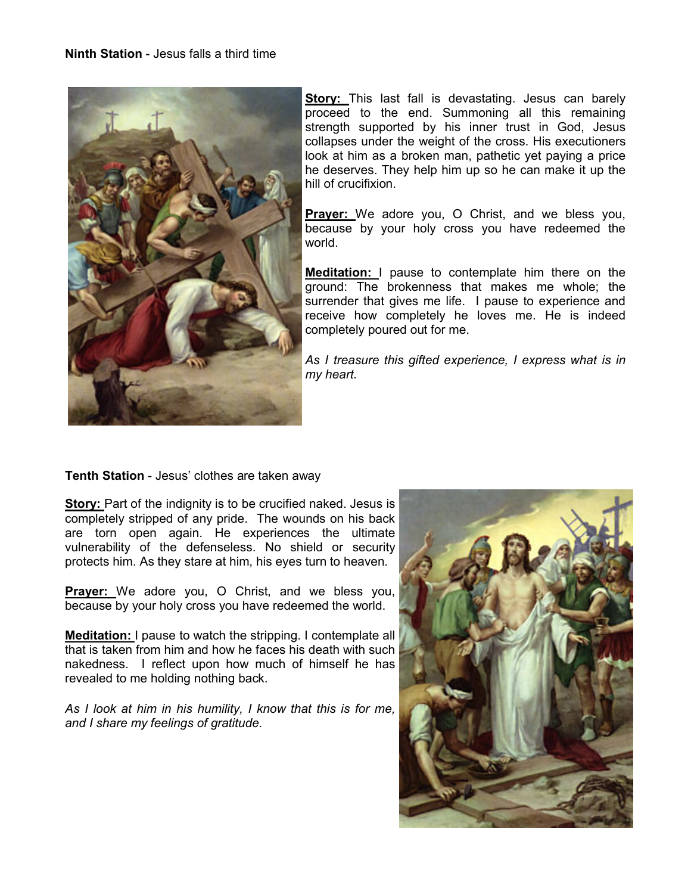

**Story:** This last fall is devastating. Jesus can barely proceed to the end. Summoning all this remaining strength supported by his inner trust in God, Jesus collapses under the weight of the cross. His executioners look at him as a broken man, pathetic yet paying a price he deserves. They help him up so he can make it up the hill of crucifixion.

**Prayer:** We adore you, O Christ, and we bless you, because by your holy cross you have redeemed the world.

**Meditation:** I pause to contemplate him there on the ground: The brokenness that makes me whole; the surrender that gives me life. I pause to experience and receive how completely he loves me. He is indeed completely poured out for me.

*As I treasure this gifted experience, I express what is in my heart.*

**Tenth Station** - Jesus' clothes are taken away

**Story:** Part of the indignity is to be crucified naked. Jesus is completely stripped of any pride. The wounds on his back are torn open again. He experiences the ultimate vulnerability of the defenseless. No shield or security protects him. As they stare at him, his eyes turn to heaven.

**Prayer:** We adore you, O Christ, and we bless you, because by your holy cross you have redeemed the world.

**Meditation:** I pause to watch the stripping. I contemplate all that is taken from him and how he faces his death with such nakedness. I reflect upon how much of himself he has revealed to me holding nothing back.

*As I look at him in his humility, I know that this is for me, and I share my feelings of gratitude.*

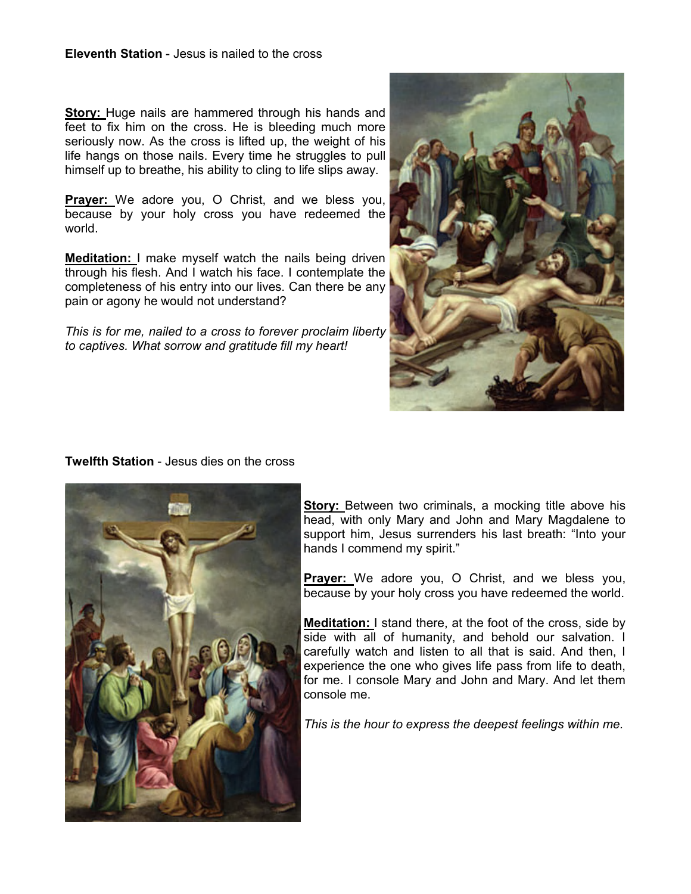**Story:** Huge nails are hammered through his hands and feet to fix him on the cross. He is bleeding much more seriously now. As the cross is lifted up, the weight of his life hangs on those nails. Every time he struggles to pull himself up to breathe, his ability to cling to life slips away.

**Prayer:** We adore you, O Christ, and we bless you, because by your holy cross you have redeemed the world.

**Meditation:** I make myself watch the nails being driven through his flesh. And I watch his face. I contemplate the completeness of his entry into our lives. Can there be any pain or agony he would not understand?

*This is for me, nailed to a cross to forever proclaim liberty to captives. What sorrow and gratitude fill my heart!*



## **Twelfth Station** - Jesus dies on the cross



**Story:** Between two criminals, a mocking title above his head, with only Mary and John and Mary Magdalene to support him, Jesus surrenders his last breath: "Into your hands I commend my spirit."

**Prayer:** We adore you, O Christ, and we bless you, because by your holy cross you have redeemed the world.

**Meditation:** I stand there, at the foot of the cross, side by side with all of humanity, and behold our salvation. I carefully watch and listen to all that is said. And then, I experience the one who gives life pass from life to death, for me. I console Mary and John and Mary. And let them console me.

*This is the hour to express the deepest feelings within me.*